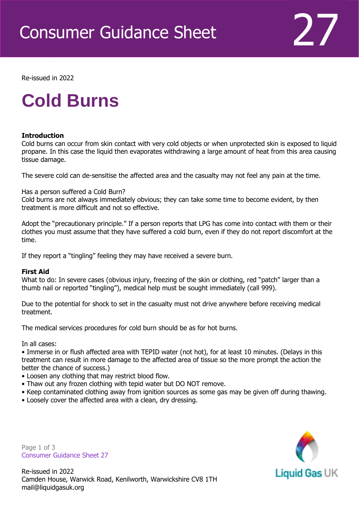

Re-issued in 2022

Revised April 2016

# **Cold Burns**

### **Introduction**

Cold burns can occur from skin contact with very cold objects or when unprotected skin is exposed to liquid propane. In this case the liquid then evaporates withdrawing a large amount of heat from this area causing tissue damage.

The severe cold can de-sensitise the affected area and the casualty may not feel any pain at the time.

Has a person suffered a Cold Burn?

Cold burns are not always immediately obvious; they can take some time to become evident, by then treatment is more difficult and not so effective.

Adopt the "precautionary principle." If a person reports that LPG has come into contact with them or their clothes you must assume that they have suffered a cold burn, even if they do not report discomfort at the time.

If they report a "tingling" feeling they may have received a severe burn.

### **First Aid**

What to do: In severe cases (obvious injury, freezing of the skin or clothing, red "patch" larger than a thumb nail or reported "tingling"), medical help must be sought immediately (call 999).

Due to the potential for shock to set in the casualty must not drive anywhere before receiving medical treatment.

The medical services procedures for cold burn should be as for hot burns.

In all cases:

• Immerse in or flush affected area with TEPID water (not hot), for at least 10 minutes. (Delays in this treatment can result in more damage to the affected area of tissue so the more prompt the action the better the chance of success.)

- Loosen any clothing that may restrict blood flow.
- Thaw out any frozen clothing with tepid water but DO NOT remove.
- Keep contaminated clothing away from ignition sources as some gas may be given off during thawing.
- Loosely cover the affected area with a clean, dry dressing.

Page 1 of 3 Consumer Guidance Sheet 27



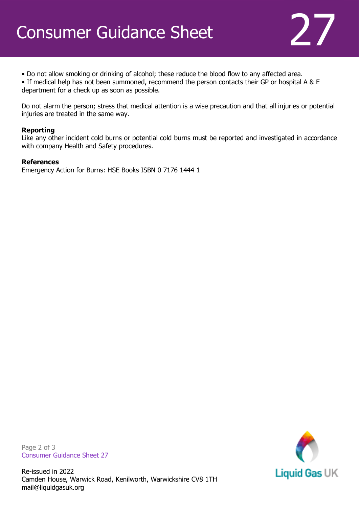

• Do not allow smoking or drinking of alcohol; these reduce the blood flow to any affected area.

• If medical help has not been summoned, recommend the person contacts their GP or hospital A & E department for a check up as soon as possible.

Do not alarm the person; stress that medical attention is a wise precaution and that all injuries or potential injuries are treated in the same way.

### **Reporting**

Like any other incident cold burns or potential cold burns must be reported and investigated in accordance with company Health and Safety procedures.

#### **References**

Emergency Action for Burns: HSE Books ISBN 0 7176 1444 1

Page 2 of 3 Consumer Guidance Sheet 27